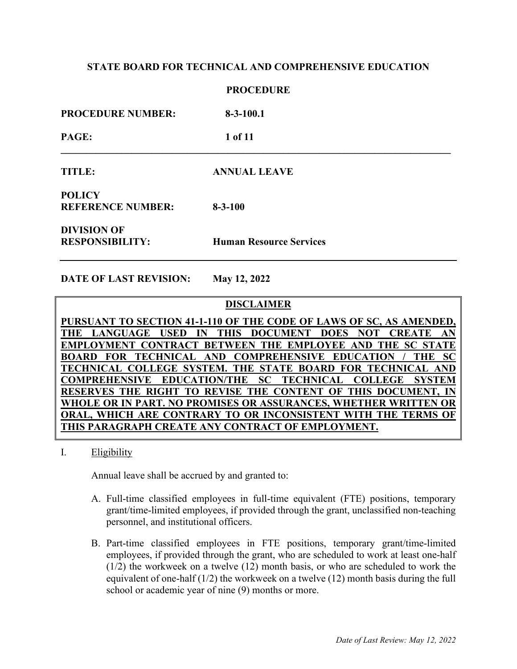**PROCEDURE**

|                                              | 1 NUULDUNL                     |  |
|----------------------------------------------|--------------------------------|--|
| <b>PROCEDURE NUMBER:</b>                     | $8-3-100.1$                    |  |
| PAGE:                                        | 1 of 11                        |  |
| TITLE:                                       | <b>ANNUAL LEAVE</b>            |  |
| <b>POLICY</b><br><b>REFERENCE NUMBER:</b>    | $8 - 3 - 100$                  |  |
| <b>DIVISION OF</b><br><b>RESPONSIBILITY:</b> | <b>Human Resource Services</b> |  |

**DATE OF LAST REVISION: May 12, 2022** 

# **DISCLAIMER**

**PURSUANT TO SECTION 41-1-110 OF THE CODE OF LAWS OF SC, AS AMENDED, THE LANGUAGE USED IN THIS DOCUMENT DOES NOT CREATE AN EMPLOYMENT CONTRACT BETWEEN THE EMPLOYEE AND THE SC STATE BOARD FOR TECHNICAL AND COMPREHENSIVE EDUCATION / THE SC TECHNICAL COLLEGE SYSTEM. THE STATE BOARD FOR TECHNICAL AND COMPREHENSIVE EDUCATION/THE SC TECHNICAL COLLEGE SYSTEM RESERVES THE RIGHT TO REVISE THE CONTENT OF THIS DOCUMENT, IN WHOLE OR IN PART. NO PROMISES OR ASSURANCES, WHETHER WRITTEN OR ORAL, WHICH ARE CONTRARY TO OR INCONSISTENT WITH THE TERMS OF THIS PARAGRAPH CREATE ANY CONTRACT OF EMPLOYMENT.**

I. Eligibility

Annual leave shall be accrued by and granted to:

- A. Full-time classified employees in full-time equivalent (FTE) positions, temporary grant/time-limited employees, if provided through the grant, unclassified non-teaching personnel, and institutional officers.
- B. Part-time classified employees in FTE positions, temporary grant/time-limited employees, if provided through the grant, who are scheduled to work at least one-half (1/2) the workweek on a twelve (12) month basis, or who are scheduled to work the equivalent of one-half  $(1/2)$  the workweek on a twelve  $(12)$  month basis during the full school or academic year of nine (9) months or more.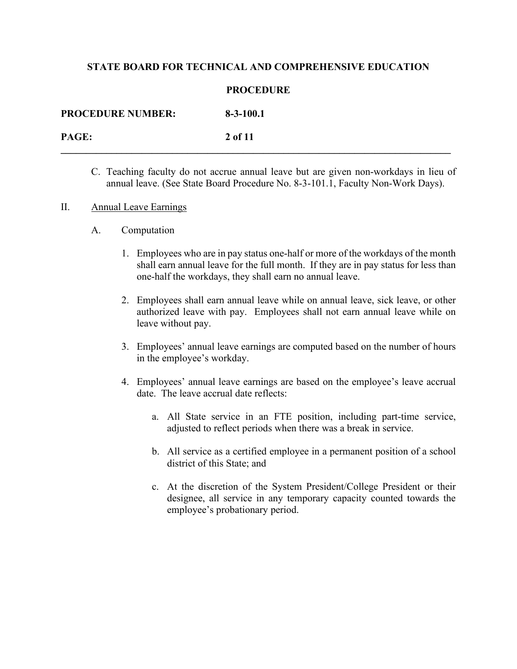### **PROCEDURE**

| <b>PROCEDURE NUMBER:</b> | $8-3-100.1$ |
|--------------------------|-------------|
| PAGE:                    | 2 of 11     |

- C. Teaching faculty do not accrue annual leave but are given non-workdays in lieu of annual leave. (See State Board Procedure No. 8-3-101.1, Faculty Non-Work Days).
- II. Annual Leave Earnings
	- A. Computation
		- 1. Employees who are in pay status one-half or more of the workdays of the month shall earn annual leave for the full month. If they are in pay status for less than one-half the workdays, they shall earn no annual leave.
		- 2. Employees shall earn annual leave while on annual leave, sick leave, or other authorized leave with pay. Employees shall not earn annual leave while on leave without pay.
		- 3. Employees' annual leave earnings are computed based on the number of hours in the employee's workday.
		- 4. Employees' annual leave earnings are based on the employee's leave accrual date. The leave accrual date reflects:
			- a. All State service in an FTE position, including part-time service, adjusted to reflect periods when there was a break in service.
			- b. All service as a certified employee in a permanent position of a school district of this State; and
			- c. At the discretion of the System President/College President or their designee, all service in any temporary capacity counted towards the employee's probationary period.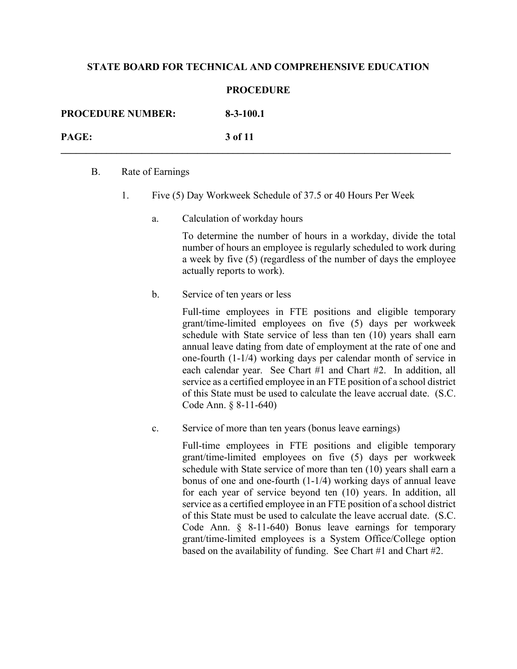#### **PROCEDURE**

| <b>PROCEDURE NUMBER:</b> | $8-3-100.1$ |
|--------------------------|-------------|
| PAGE:                    | 3 of 11     |

#### B. Rate of Earnings

- 1. Five (5) Day Workweek Schedule of 37.5 or 40 Hours Per Week
	- a. Calculation of workday hours

To determine the number of hours in a workday, divide the total number of hours an employee is regularly scheduled to work during a week by five (5) (regardless of the number of days the employee actually reports to work).

b. Service of ten years or less

Full-time employees in FTE positions and eligible temporary grant/time-limited employees on five (5) days per workweek schedule with State service of less than ten (10) years shall earn annual leave dating from date of employment at the rate of one and one-fourth (1-1/4) working days per calendar month of service in each calendar year. See Chart #1 and Chart #2. In addition, all service as a certified employee in an FTE position of a school district of this State must be used to calculate the leave accrual date. (S.C. Code Ann. § 8-11-640)

c. Service of more than ten years (bonus leave earnings)

Full-time employees in FTE positions and eligible temporary grant/time-limited employees on five (5) days per workweek schedule with State service of more than ten (10) years shall earn a bonus of one and one-fourth (1-1/4) working days of annual leave for each year of service beyond ten (10) years. In addition, all service as a certified employee in an FTE position of a school district of this State must be used to calculate the leave accrual date. (S.C. Code Ann. § 8-11-640) Bonus leave earnings for temporary grant/time-limited employees is a System Office/College option based on the availability of funding. See Chart #1 and Chart #2.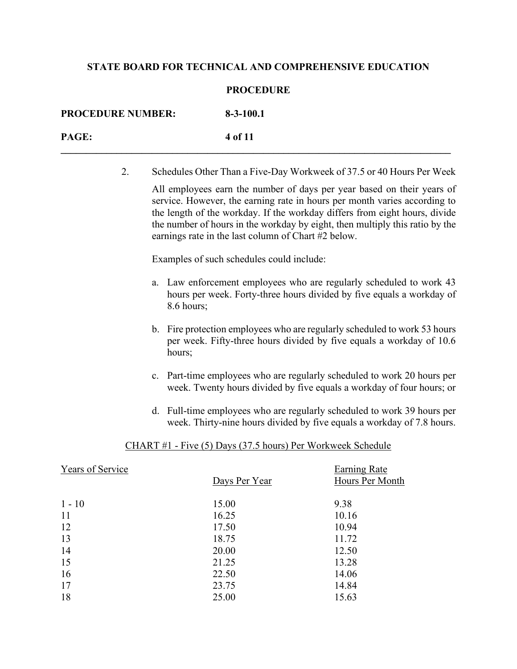### **PROCEDURE**

| <b>PROCEDURE NUMBER:</b> | $8-3-100.1$ |
|--------------------------|-------------|
| PAGE:                    | 4 of 11     |

2. Schedules Other Than a Five-Day Workweek of 37.5 or 40 Hours Per Week

All employees earn the number of days per year based on their years of service. However, the earning rate in hours per month varies according to the length of the workday. If the workday differs from eight hours, divide the number of hours in the workday by eight, then multiply this ratio by the earnings rate in the last column of Chart #2 below.

Examples of such schedules could include:

- a. Law enforcement employees who are regularly scheduled to work 43 hours per week. Forty-three hours divided by five equals a workday of 8.6 hours;
- b. Fire protection employees who are regularly scheduled to work 53 hours per week. Fifty-three hours divided by five equals a workday of 10.6 hours;
- c. Part-time employees who are regularly scheduled to work 20 hours per week. Twenty hours divided by five equals a workday of four hours; or
- d. Full-time employees who are regularly scheduled to work 39 hours per week. Thirty-nine hours divided by five equals a workday of 7.8 hours.

#### CHART #1 - Five (5) Days (37.5 hours) Per Workweek Schedule

| Years of Service | Days Per Year | Earning Rate<br>Hours Per Month |
|------------------|---------------|---------------------------------|
|                  |               |                                 |
| $1 - 10$         | 15.00         | 9.38                            |
| 11               | 16.25         | 10.16                           |
| 12               | 17.50         | 10.94                           |
| 13               | 18.75         | 11.72                           |
| 14               | 20.00         | 12.50                           |
| 15               | 21.25         | 13.28                           |
| 16               | 22.50         | 14.06                           |
| 17               | 23.75         | 14.84                           |
| 18               | 25.00         | 15.63                           |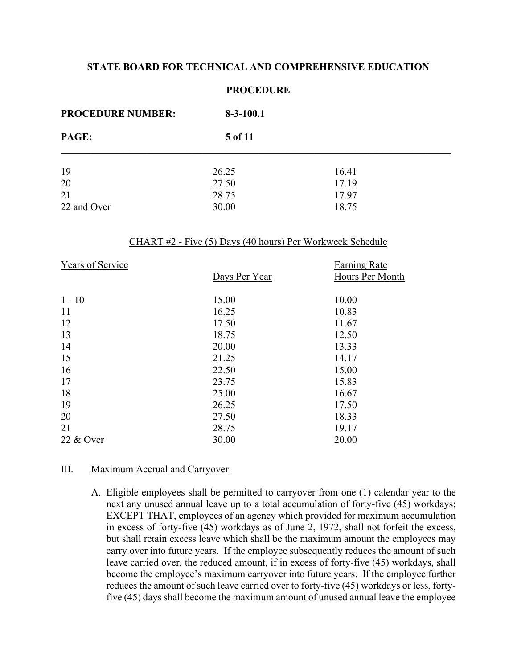| <b>PROCEDURE NUMBER:</b> | $8-3-100.1$ |       |  |
|--------------------------|-------------|-------|--|
| PAGE:                    | 5 of 11     |       |  |
| 19                       | 26.25       | 16.41 |  |
| 20                       | 27.50       | 17.19 |  |
| 21                       | 28.75       | 17.97 |  |
| 22 and Over              | 30.00       | 18.75 |  |

### **PROCEDURE**

## CHART #2 - Five (5) Days (40 hours) Per Workweek Schedule

| Years of Service |               | Earning Rate    |
|------------------|---------------|-----------------|
|                  | Days Per Year | Hours Per Month |
|                  |               |                 |
| $1 - 10$         | 15.00         | 10.00           |
| 11               | 16.25         | 10.83           |
| 12               | 17.50         | 11.67           |
| 13               | 18.75         | 12.50           |
| 14               | 20.00         | 13.33           |
| 15               | 21.25         | 14.17           |
| 16               | 22.50         | 15.00           |
| 17               | 23.75         | 15.83           |
| 18               | 25.00         | 16.67           |
| 19               | 26.25         | 17.50           |
| 20               | 27.50         | 18.33           |
| 21               | 28.75         | 19.17           |
| 22 & Over        | 30.00         | 20.00           |

#### III. Maximum Accrual and Carryover

A. Eligible employees shall be permitted to carryover from one (1) calendar year to the next any unused annual leave up to a total accumulation of forty-five (45) workdays; EXCEPT THAT, employees of an agency which provided for maximum accumulation in excess of forty-five (45) workdays as of June 2, 1972, shall not forfeit the excess, but shall retain excess leave which shall be the maximum amount the employees may carry over into future years. If the employee subsequently reduces the amount of such leave carried over, the reduced amount, if in excess of forty-five (45) workdays, shall become the employee's maximum carryover into future years. If the employee further reduces the amount of such leave carried over to forty-five (45) workdays or less, fortyfive (45) days shall become the maximum amount of unused annual leave the employee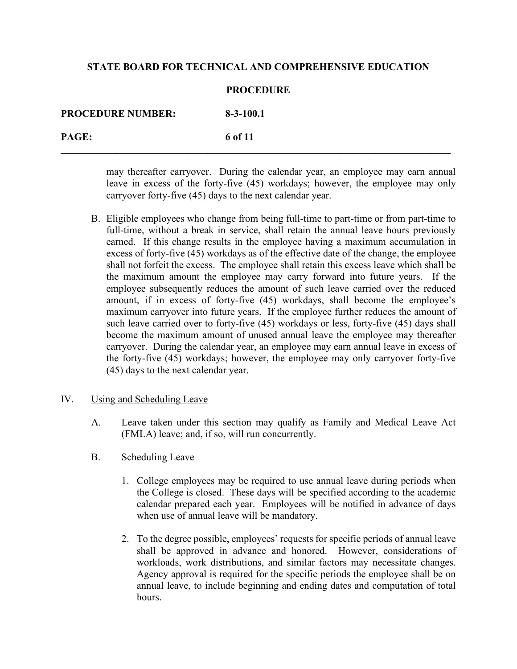#### **PROCEDURE**

| <b>PROCEDURE NUMBER:</b> | $8-3-100.1$ |
|--------------------------|-------------|
| PAGE:                    | 6 of 11     |

may thereafter carryover. During the calendar year, an employee may earn annual leave in excess of the forty-five (45) workdays; however, the employee may only carryover forty-five (45) days to the next calendar year.

B. Eligible employees who change from being full-time to part-time or from part-time to full-time, without a break in service, shall retain the annual leave hours previously earned. If this change results in the employee having a maximum accumulation in excess of forty-five (45) workdays as of the effective date of the change, the employee shall not forfeit the excess. The employee shall retain this excess leave which shall be the maximum amount the employee may carry forward into future years. If the employee subsequently reduces the amount of such leave carried over the reduced amount, if in excess of forty-five (45) workdays, shall become the employee's maximum carryover into future years. If the employee further reduces the amount of such leave carried over to forty-five (45) workdays or less, forty-five (45) days shall become the maximum amount of unused annual leave the employee may thereafter carryover. During the calendar year, an employee may earn annual leave in excess of the forty-five (45) workdays; however, the employee may only carryover forty-five (45) days to the next calendar year.

#### IV. Using and Scheduling Leave

- A. Leave taken under this section may qualify as Family and Medical Leave Act (FMLA) leave; and, if so, will run concurrently.
- B. Scheduling Leave
	- 1. College employees may be required to use annual leave during periods when the College is closed. These days will be specified according to the academic calendar prepared each year. Employees will be notified in advance of days when use of annual leave will be mandatory.
	- 2. To the degree possible, employees' requests for specific periods of annual leave shall be approved in advance and honored. However, considerations of workloads, work distributions, and similar factors may necessitate changes. Agency approval is required for the specific periods the employee shall be on annual leave, to include beginning and ending dates and computation of total hours.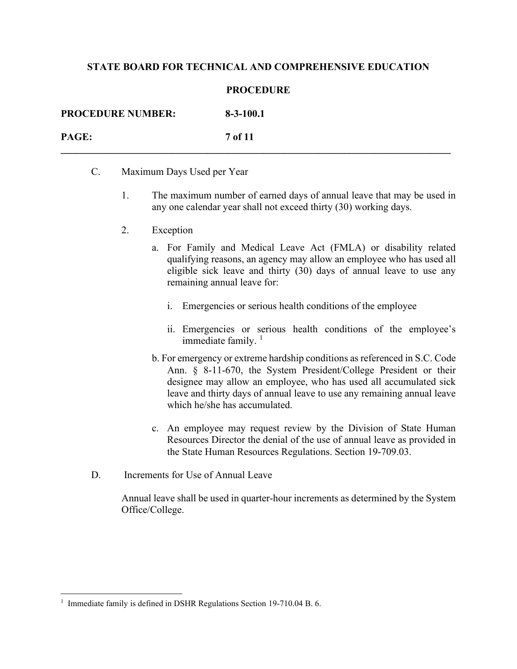#### **PROCEDURE**

| <b>PROCEDURE NUMBER:</b> | $8-3-100.1$    |
|--------------------------|----------------|
| <b>PAGE:</b>             | <b>7 of 11</b> |

- C. Maximum Days Used per Year
	- 1. The maximum number of earned days of annual leave that may be used in any one calendar year shall not exceed thirty (30) working days.
	- 2. Exception
		- a. For Family and Medical Leave Act (FMLA) or disability related qualifying reasons, an agency may allow an employee who has used all eligible sick leave and thirty (30) days of annual leave to use any remaining annual leave for:
			- i. Emergencies or serious health conditions of the employee
			- ii. Emergencies or serious health conditions of the employee's immediate family.  $1$
		- b. For emergency or extreme hardship conditions as referenced in S.C. Code Ann. § 8-11-670, the System President/College President or their designee may allow an employee, who has used all accumulated sick leave and thirty days of annual leave to use any remaining annual leave which he/she has accumulated.
		- c. An employee may request review by the Division of State Human Resources Director the denial of the use of annual leave as provided in the State Human Resources Regulations. Section 19-709.03.
- D. Increments for Use of Annual Leave

Annual leave shall be used in quarter-hour increments as determined by the System Office/College.

<span id="page-6-0"></span><sup>&</sup>lt;sup>1</sup> Immediate family is defined in DSHR Regulations Section 19-710.04 B. 6.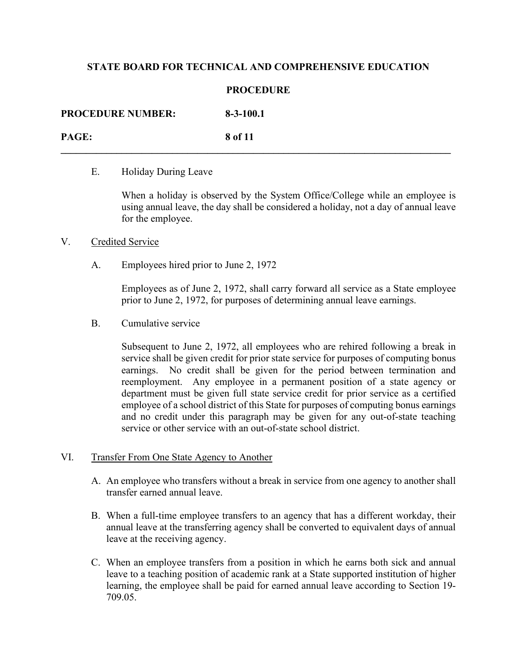### **PROCEDURE**

| <b>PROCEDURE NUMBER:</b> | $8 - 3 - 100.1$ |
|--------------------------|-----------------|
| PAGE:                    | 8 of 11         |

### E. Holiday During Leave

When a holiday is observed by the System Office/College while an employee is using annual leave, the day shall be considered a holiday, not a day of annual leave for the employee.

### V. Credited Service

A. Employees hired prior to June 2, 1972

Employees as of June 2, 1972, shall carry forward all service as a State employee prior to June 2, 1972, for purposes of determining annual leave earnings.

B. Cumulative service

Subsequent to June 2, 1972, all employees who are rehired following a break in service shall be given credit for prior state service for purposes of computing bonus earnings. No credit shall be given for the period between termination and reemployment. Any employee in a permanent position of a state agency or department must be given full state service credit for prior service as a certified employee of a school district of this State for purposes of computing bonus earnings and no credit under this paragraph may be given for any out-of-state teaching service or other service with an out-of-state school district.

#### VI. Transfer From One State Agency to Another

- A. An employee who transfers without a break in service from one agency to another shall transfer earned annual leave.
- B. When a full-time employee transfers to an agency that has a different workday, their annual leave at the transferring agency shall be converted to equivalent days of annual leave at the receiving agency.
- C. When an employee transfers from a position in which he earns both sick and annual leave to a teaching position of academic rank at a State supported institution of higher learning, the employee shall be paid for earned annual leave according to Section 19- 709.05.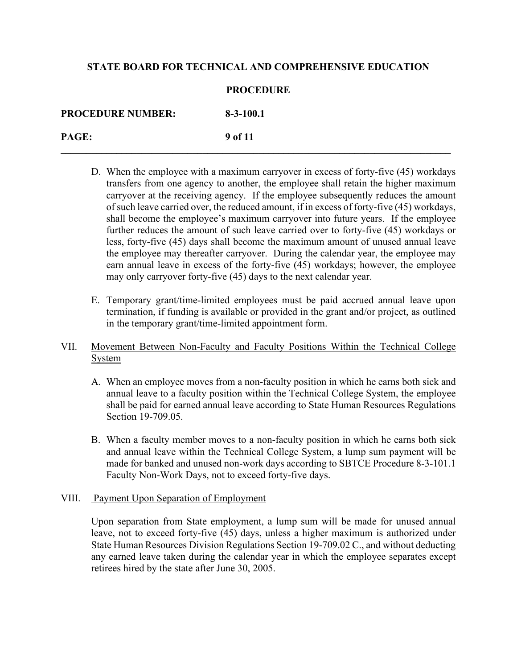### **PROCEDURE**

| <b>PROCEDURE NUMBER:</b> | $8-3-100.1$ |
|--------------------------|-------------|
| PAGE:                    | 9 of 11     |

- D. When the employee with a maximum carryover in excess of forty-five (45) workdays transfers from one agency to another, the employee shall retain the higher maximum carryover at the receiving agency. If the employee subsequently reduces the amount of such leave carried over, the reduced amount, if in excess of forty-five (45) workdays, shall become the employee's maximum carryover into future years. If the employee further reduces the amount of such leave carried over to forty-five (45) workdays or less, forty-five (45) days shall become the maximum amount of unused annual leave the employee may thereafter carryover. During the calendar year, the employee may earn annual leave in excess of the forty-five (45) workdays; however, the employee may only carryover forty-five (45) days to the next calendar year.
- E. Temporary grant/time-limited employees must be paid accrued annual leave upon termination, if funding is available or provided in the grant and/or project, as outlined in the temporary grant/time-limited appointment form.

# VII. Movement Between Non-Faculty and Faculty Positions Within the Technical College System

- A. When an employee moves from a non-faculty position in which he earns both sick and annual leave to a faculty position within the Technical College System, the employee shall be paid for earned annual leave according to State Human Resources Regulations Section 19-709.05.
- B. When a faculty member moves to a non-faculty position in which he earns both sick and annual leave within the Technical College System, a lump sum payment will be made for banked and unused non-work days according to SBTCE Procedure 8-3-101.1 Faculty Non-Work Days, not to exceed forty-five days.

## VIII. Payment Upon Separation of Employment

Upon separation from State employment, a lump sum will be made for unused annual leave, not to exceed forty-five (45) days, unless a higher maximum is authorized under State Human Resources Division Regulations Section 19-709.02 C., and without deducting any earned leave taken during the calendar year in which the employee separates except retirees hired by the state after June 30, 2005.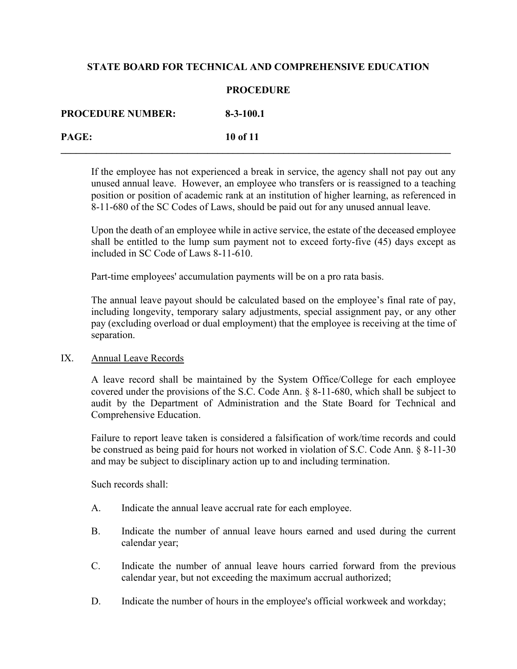### **PROCEDURE**

| <b>PROCEDURE NUMBER:</b> | $8 - 3 - 100.1$ |
|--------------------------|-----------------|
| PAGE:                    | 10 of 11        |

If the employee has not experienced a break in service, the agency shall not pay out any unused annual leave. However, an employee who transfers or is reassigned to a teaching position or position of academic rank at an institution of higher learning, as referenced in 8-11-680 of the SC Codes of Laws, should be paid out for any unused annual leave.

Upon the death of an employee while in active service, the estate of the deceased employee shall be entitled to the lump sum payment not to exceed forty-five (45) days except as included in SC Code of Laws 8-11-610.

Part-time employees' accumulation payments will be on a pro rata basis.

The annual leave payout should be calculated based on the employee's final rate of pay, including longevity, temporary salary adjustments, special assignment pay, or any other pay (excluding overload or dual employment) that the employee is receiving at the time of separation.

## IX. Annual Leave Records

A leave record shall be maintained by the System Office/College for each employee covered under the provisions of the S.C. Code Ann. § 8-11-680, which shall be subject to audit by the Department of Administration and the State Board for Technical and Comprehensive Education.

Failure to report leave taken is considered a falsification of work/time records and could be construed as being paid for hours not worked in violation of S.C. Code Ann. § 8-11-30 and may be subject to disciplinary action up to and including termination.

Such records shall:

- A. Indicate the annual leave accrual rate for each employee.
- B. Indicate the number of annual leave hours earned and used during the current calendar year;
- C. Indicate the number of annual leave hours carried forward from the previous calendar year, but not exceeding the maximum accrual authorized;
- D. Indicate the number of hours in the employee's official workweek and workday;